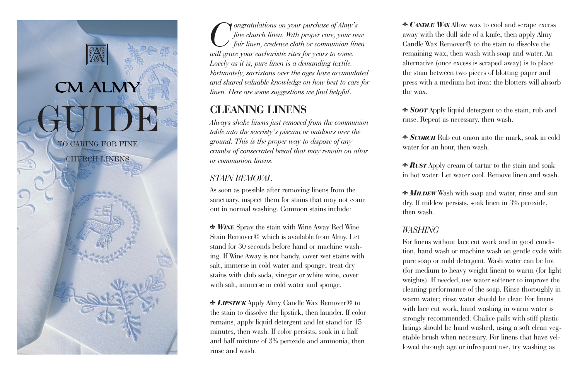

*Congratulations on your purchase of Almy's fine church linen. With proper care, your new fair linen, credence cloth or communion linen will grace your eucharistic rites for years to come. Lovely as it is, pure linen is a demanding textile. Fortunately, sacristans over the ages have accumulated and shared valuable knowledge on how best to care for linen. Here are some suggestions we find helpful*.

## **CLEANING LINENS**

*Always shake linens just removed from the communion table into the sacristy's piscina or outdoors over the ground. This is the proper way to dispose of any crumbs of consecrated bread that may remain on altar or communion linens.*

## *STAIN REMOVAL*

As soon as possible after removing linens from the sanctuary, inspect them for stains that may not come out in normal washing. Common stains include:

 *WINE* Spray the stain with Wine Away Red Wine Stain Remover© which is available from Almy. Let stand for 30 seconds before hand or machine washing. If Wine Away is not handy, cover wet stains with salt, immerse in cold water and sponge; treat dry stains with club soda, vinegar or white wine, cover with salt, immerse in cold water and sponge.

 *LIPSTICK* Apply Almy Candle Wax Remover® to the stain to dissolve the lipstick, then launder. If color remains, apply liquid detergent and let stand for 15 minutes, then wash. If color persists, soak in a half and half mixture of 3% peroxide and ammonia, then rinse and wash.

 *CANDLE WAX* Allow wax to cool and scrape excess away with the dull side of a knife, then apply Almy Candle Wax Remover® to the stain to dissolve the remaining wax, then wash with soap and water. An alternative (once excess is scraped away) is to place the stain between two pieces of blotting paper and press with a medium hot iron: the blotters will absorb the wax.

 *SOOT* Apply liquid detergent to the stain, rub and rinse. Repeat as necessary, then wash.

 *SCORCH* Rub cut onion into the mark, soak in cold water for an hour, then wash.

 *RUST* Apply cream of tartar to the stain and soak in hot water. Let water cool. Remove linen and wash.

 *MILDEW* Wash with soap and water, rinse and sun dry. If mildew persists, soak linen in 3% peroxide, then wash.

## *WASHING*

For linens without lace cut work and in good condition, hand wash or machine wash on gentle cycle with pure soap or mild detergent. Wash water can be hot (for medium to heavy weight linen) to warm (for light weights). If needed, use water softener to improve the cleaning performance of the soap. Rinse thoroughly in warm water; rinse water should be clear. For linens with lace cut work, hand washing in warm water is strongly recommended. Chalice palls with stiff plastic linings should be hand washed, using a soft clean vegetable brush when necessary. For linens that have yellowed through age or infrequent use, try washing as